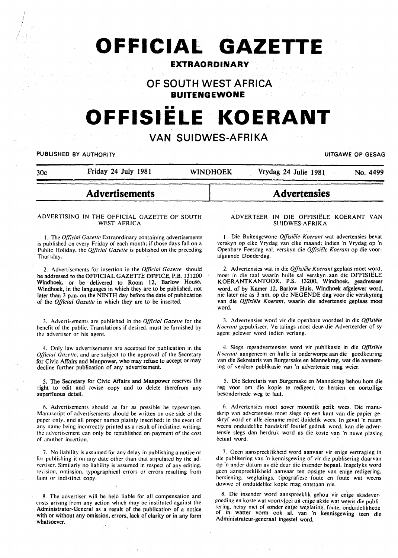# **OFFICIAl GAZETTE**

# **EXTRAORDINARY**

**OF SOUTH WEST AFRICA BUITENGEWONE** 

# **OFFISIELE KOERANT**

# **VAN SUIDWES-AFRIKA**

# **PUBLISHED BY AUTHORITY The CONSTRUCTION OF GESAGRAPH UITGAWE OP GESAGRAPH**

| __________ |                     |                 |                      |          |
|------------|---------------------|-----------------|----------------------|----------|
| 30c        | Friday 24 July 1981 | <b>WINDHOEK</b> | Vrydag 24 Julie 1981 | No. 4499 |

# **Advertisements**

# ADVERTISING IN THE OFFICIAL GAZETTE OF SOUTH WEST AFRICA

I. The *Official Gazette* Extraordinary containing advertisements is published on every Friday of each month: if those days fall on a Public Holiday, the *Official Gazette* is published on the preceding Thursday.

2. Advertisements for insertion in the *Official Gazelle* should be addressed to the OFFICIAL GAZETTE OFFICE, P.B. 131200 Windhoek, or be delivered to Room 12, Barlow House, Windhoek, in the languages in which they are to be published, not later than 3 p.m. on the NINTH day before the date of publication of the *Official Gazette* in which they are to be inserted.

J. Advertisements are published in the *Official Gazette* for the benefit of the public. Translations if desired. must be furnished by the advertiser or his agent.

4. Only law advertisements are accepted for publication in the *Official Gazette*, and are subject to the approval of the Secretary for Civic Affairs and Manpower, who may refuse to accept or may decline further publication of any advertisement.

*5.* The Secretary for Civic Affairs and Manpower reserves the right to edit and revise copy and to delete therefrom any superfluous detail.

o. Advertisements should as far as possible be typewritten. Manuscript of advertisements should be written on orie side of the paper only. and all proper names plainly inscribed: in the event of any name heing incorrectly printed as a result of indistinct writing. the advertisement can only he republished on payment of the cost of another insertion.

7. No liability is assumed for any delay in publishing a notice or for publishing it on any date other than that stipulated by the advertiser. Similarly no liability is assumed in respect of any editing. revision. omission. typographical errors or errors resulting from faint or indistinct copy.

R. The advertiser will be held liable for all compensation and costs arising from any action which may be instituted against the Administrator-General as a result of the publication of a notice with or without any omission, errors, lack of clarity or in any form whatsoever.

## ADVERTEER IN DIE OFFISIELE KOERANT VAN SUIDWES-AFRIKA

**Advertensies** 

1. Die Buitengewone *Offisiële Koerant* wat advertensies bevat verskyn op elke Vrydag van elke maand: indien 'n Vrydag op 'n Openbare Feesdag val. verskyn die *Offisiële Koerant* op die voorafgaande Donderdag.

2. Advertensies wat in die Offisiële Koerant geplaas moet word, moet in die taal waarin hulle sal verskyn aan die OFFISIELE KOERANTKANTOOR, P.S. 13200, Windhoek~ geadresseer word, of by Kamer 12, Barlow Huis, Windhoek afgelewer word, nie later nie as 3 nm. op die NEG EN DE dag voor die verskyning van die Offisiële Koerant, waarin die advertensie geplaas moet word.

J. Advertensies word vir die openbare voordeel in die *Offisii!le*  Koerant gepubliseer. Vertalings moet deur die Adverteerder of sy agent gelewer word indien verlang.

4. Slegs regsadvertensies word vir publikasie in die Offisiële *Koerant* aangeneem en hulle is onderworpe aan die goedkeuring van die Sekretaris van Burgersake en Mannekrag. wat die aanneming of verdere publikasie van 'n advertensie mag weier.

5. Die Sekretaris van Burgersake en Mannekrag behou hom die reg voor om die kopie te redigeer, te hersien en oortollige besonderhede weg te laat.

6. Advertensies moet sover moontlik getik wees. Die manuskrip van advertensies moet slegs op een kant van die papier geskryf word en alle eiename moet duidelik wees. In geval 'n naam weens onduidelike handskrif foutief gedruk word. kan die advertensie slegs dan herdruk word as die koste van ·n nuwe plasing hetaal word.

7. Geen aanspreeklikheid word aanvaar vir enige vertraging in die publisering van ·n kennisgewing of vir die publisering daarvan op ·n ander datum as die deur die insender bepaal. Insgelyks word geen aanspreeklikheid aanvaar ten opsigte van enige redigering. hersiening. weglatings. tipografiese foute en foute wat weens dowwc of onduidelike kopie mag ontstaan nie.

8. Die inscnder word aanspreeklik gehou vir enige skadevergocding en koste wat voortvloei uit enige aksie wat weens die publiscring. hetsy met of sonder enige weglating. foute. onduidelikhede or m watter vorm ook al. van 'n kennisgewing teen die Administrateur-generaal ingestel word.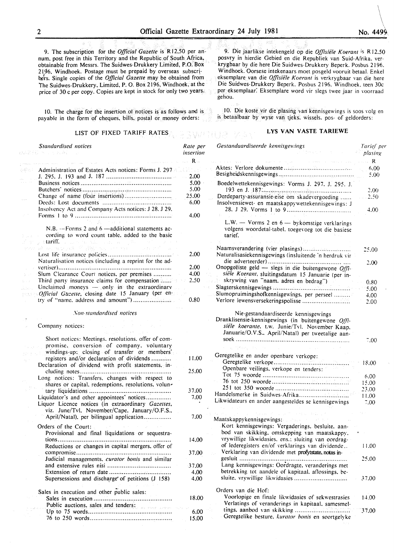9. The subscription for the *Official Gazette* is Rl2,50 per annum. post free in this Territory and the Republic of South Africa, obtainable from Messrs. The Suidwes-Drukkery Limited, P.O. Box 2196, Windhoek. Postage must be prepaid by overseas subscri-<br>have Single agains of the Official Canatte may be obtained from ners. Single copies of the *Official Gazette* may be obtained from The Suidwes-Drukkery. Limited, P. 0. Box 2196, Windhoek, at the price of 30 c per copy. Copies are kept in stock for only two years.

10. The charge for the insertion ol notices is as follows and is payable in the form of cheques. bills. postal or money orders:

# LIST OF FIXED TARIFF RATES  $\mathbb{R} \rightarrow \mathbb{R}$

9. Die jaarlikse intekengeld op die *Offisiefe K oerant* is R 12.50 posvry in hierdie Gebied en die Republiek van Suid-Afrika. verkrygbaar by die here Die Suidwes-Drukkery Beperk. Posbus 2196. Windhoek. Oorsese intekenaars moet posgeld vooruit betaal. Enkel eksemplare van die *Offisie'le Koerant* is verkrygbaar van die here Die Suidwes-Drukkery Beperk. Posbus 2196. Windhoek. teen 30c per eksemplaar: Eksemplare word vir slegs twee jaar in voorraad gehou.

JO. Die koste vir die plasing van kennisgewings is soos volg en is betaalbaar by wyse van tjeks. wissels. pos- of geldorders:

# **LYS VAN VASTE TARIEWE**

| <b>Standardised notices</b>                                                                                                                                                                                                        | Rate per<br>insertion | Gestandaardiseerde kennisgewings                                                                                                                                                                  | Tarief per<br>plasing  |
|------------------------------------------------------------------------------------------------------------------------------------------------------------------------------------------------------------------------------------|-----------------------|---------------------------------------------------------------------------------------------------------------------------------------------------------------------------------------------------|------------------------|
|                                                                                                                                                                                                                                    | $R_{-}$               | الفوار المعارض المتعاطف والمتحدث                                                                                                                                                                  | $\sim$ $\sim$ $\sim$ R |
| Administration of Estates Acts notices: Forms J. 297                                                                                                                                                                               |                       |                                                                                                                                                                                                   | 6.00                   |
|                                                                                                                                                                                                                                    | 2.00                  |                                                                                                                                                                                                   | 5.00                   |
|                                                                                                                                                                                                                                    | 5.00                  | Boedelwettekennisgewings: Vorms J. 297, J. 295, J.                                                                                                                                                |                        |
|                                                                                                                                                                                                                                    | 5.00                  |                                                                                                                                                                                                   | 2.00                   |
|                                                                                                                                                                                                                                    | 25.00                 | Derdeparty-assuransie-eise om skadevergoeding                                                                                                                                                     | 2.50                   |
|                                                                                                                                                                                                                                    | 6.00                  | Insolvensiewet- en maatskappywettekennisgewings: J                                                                                                                                                |                        |
| Insolvency Act and Company Acts notices: J 28. J 29.                                                                                                                                                                               |                       |                                                                                                                                                                                                   | 4.00                   |
|                                                                                                                                                                                                                                    | 4.00                  |                                                                                                                                                                                                   |                        |
| N.B. $-$ Forms 2 and 6 $-$ additional statements ac-<br>cording to word count table, added to the basic<br>a <b>tariff.</b> The construction of the computation of the construction of the construction of the construction of the |                       | L.W. - Vorms 2 en 6 - bykomstige verklarings<br>volgens woordetal-tabel, toegevoeg tot die basiese<br>tarief.                                                                                     |                        |
| about markets. Wallet we are the<br>na provinsi                                                                                                                                                                                    |                       |                                                                                                                                                                                                   | 25.00                  |
|                                                                                                                                                                                                                                    | 2.00                  | Naturalisasiekennisgewings (insluitende 'n herdruk vir                                                                                                                                            |                        |
| Naturalisation notices (including a reprint for the ad-                                                                                                                                                                            |                       |                                                                                                                                                                                                   | 2.00                   |
|                                                                                                                                                                                                                                    | 2.00                  | Onopgeëiste geld — slegs in die buitengewone $Off$ .                                                                                                                                              |                        |
| Slum Clearance Court notices, per premises                                                                                                                                                                                         | 4.00                  | siële Koerant, sluitingsdatum 15 Januarie (per in-                                                                                                                                                |                        |
| Third party insurance claims for compensation                                                                                                                                                                                      | 2.50                  | skrywing van "naam. adres en bedrag")                                                                                                                                                             | 0.80                   |
| Unclaimed moneys $-$ only in the extraordinary                                                                                                                                                                                     |                       |                                                                                                                                                                                                   | 5.00                   |
| Official Gazette, closing date 15 January (per en-                                                                                                                                                                                 |                       | Slumopruimingshofkennisgewings. per perseel                                                                                                                                                       | 4.00                   |
| try of "name, address and amount")                                                                                                                                                                                                 | 0.80                  |                                                                                                                                                                                                   | 2.00                   |
| Non-standardised notices<br>Company notices:                                                                                                                                                                                       |                       | Nie-gestandaardiseerde kennisgewings<br>Dranklisensie-kennisgewings (in buitengewone Offi-<br>siële koerante, t.w. Junie/Tvl. November Kaap.<br>Januarie/O.V.S., April/Natal) per tweetalige aan- |                        |
| Short notices: Meetings. resolutions. offer of com-<br>promise, conversion of company, voluntary                                                                                                                                   |                       |                                                                                                                                                                                                   | 7.00                   |
| windings-up: closing of transfer or members'                                                                                                                                                                                       |                       | Geregtelike en ander openbare verkope:                                                                                                                                                            |                        |
| registers and/or declaration of dividends                                                                                                                                                                                          | 11.00                 |                                                                                                                                                                                                   | 18.00                  |
| Declaration of dividend with profit statements, in-                                                                                                                                                                                | 25.00                 | Openbare veilings, verkope en tenders:                                                                                                                                                            |                        |
|                                                                                                                                                                                                                                    |                       |                                                                                                                                                                                                   | 6.00                   |
| Long notices: Transfers, changes with respect to<br>shares or capital, redemptions, resolutions, volun-                                                                                                                            |                       |                                                                                                                                                                                                   | 15.00                  |
|                                                                                                                                                                                                                                    | 37.00                 |                                                                                                                                                                                                   | 23.00                  |
| Liquidator's and other appointees' notices                                                                                                                                                                                         | 7.00                  |                                                                                                                                                                                                   | 11.00                  |
| Liquor Licence notices (in extraordinary Gazettes,                                                                                                                                                                                 |                       | Likwidateurs en ander aangesteldes se kennisgewings                                                                                                                                               | 7.00                   |
| viz. June/Tvl. November/Cape. January/O.F.S                                                                                                                                                                                        |                       |                                                                                                                                                                                                   |                        |
| April/Natal), per bilingual application                                                                                                                                                                                            | 7.00                  | Maatskappykennisgewings:                                                                                                                                                                          |                        |
|                                                                                                                                                                                                                                    |                       |                                                                                                                                                                                                   |                        |
| Orders of the Court:                                                                                                                                                                                                               |                       | Kort kennisgewings: Vergaderings, besluite, aan-<br>bod van skikking, omskepping van maatskappy,                                                                                                  |                        |
| Provisional and final liquidations or sequestra-                                                                                                                                                                                   |                       | vrywillige likwidasies, ens.: sluiting van oordrag-                                                                                                                                               |                        |
| Reductions or changes in capital mergers, offer of                                                                                                                                                                                 | 14.00                 | of lederegisters en/of verklarings van dividende                                                                                                                                                  | 11,00                  |
|                                                                                                                                                                                                                                    | 37,00                 | Verklaring van dividende met profytstate, notas in-                                                                                                                                               |                        |
| Judicial managements, curator bonis and similar                                                                                                                                                                                    |                       |                                                                                                                                                                                                   | 25.00                  |
|                                                                                                                                                                                                                                    | 37,00                 | Lang kennisgewings: Oordragte, veranderings met                                                                                                                                                   |                        |
|                                                                                                                                                                                                                                    | 4.00                  | betrekking tot aandele of kapitaal, aflossings, be-                                                                                                                                               |                        |
| Supersessions and discharge of petitions (J 158)                                                                                                                                                                                   | 4,00                  | sluite, vrywillige likwidasies                                                                                                                                                                    | 37.00                  |
|                                                                                                                                                                                                                                    |                       |                                                                                                                                                                                                   |                        |
| Sales in execution and other public sales:                                                                                                                                                                                         |                       | Orders van die Hof:                                                                                                                                                                               |                        |
|                                                                                                                                                                                                                                    | 18.00                 | Voorlopige en finale likwidasies of sekwestrasies                                                                                                                                                 | 14.00                  |
| Public auctions, sales and tenders:                                                                                                                                                                                                |                       | Verlatings of veranderings in kapitaal, samesmel-                                                                                                                                                 |                        |
|                                                                                                                                                                                                                                    | 6,00                  |                                                                                                                                                                                                   | 37.00                  |
|                                                                                                                                                                                                                                    | 15,00                 | Geregtelike besture, kurator bonis en soortgelyke                                                                                                                                                 |                        |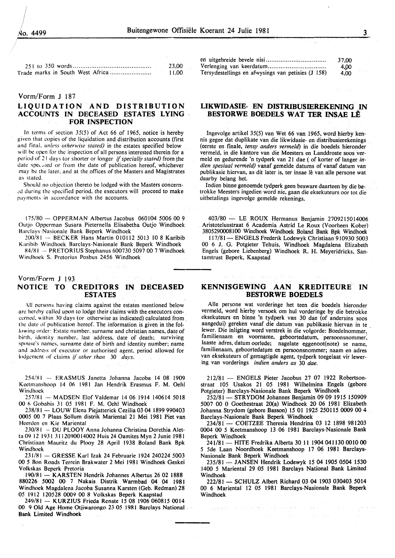|  | 23.00 |
|--|-------|
|  |       |

# Vorm/Form J 187

# **LIQUIDATION AND DISTRIBUTION ACCOUNTS IN DECEASED ESTATES LYING FOR INSPECTION**

In terms of section 35(5) of Act 66 of 1965, notice is hereby given that copies of the liquidation and distribution accounts (first and final. *unless otherwise stated)* in the estates specified below will be open for the inspection of all persons interested therein for a period of 21 days (or shorter or longer *if specially stated)* from the date specified or from the date of publication hereof, whichever may be the later, and at the offices of the Masters and Magistrates as stated.

Should no objection thereto be lodged with the Masters concem- *.:d* during the specified period. the executors will proceed to make payments in accordance with the accounts.

175/80- OPPERMAN Albertus Jacobus 060104 5006 00 9 Outjo Opperman Susara Pieternella Elisabetha Outjo Windhoek Barclays-Nasionale Bank Beperk Windhoek

200/81 - BECKER Hans Martin 010112 5013 lO 8 Karibib Karibib Windhoek Barclays-Nasionale Bank Beperk Windhoek 84/81 -- PRETORIUS Stephanus 600730 5097 00 7 Windhoek

Windhoek S. Pretorius Posbus 2456 Windhoek

# Vorm/Form J 193 **NOTICE TO CREDITORS IN DECEASED ESTATES**

All persons having claims against the estates mentioned below arc herehy called upon to lodge their claims with the executors concerned. within 30 days (or otherwise as indicated) cafculated from the date of publication hereof. The information is given in the following order: Estate number, surname and christian names, date of birth, identity number. last address. date of death; surviving spouse's names. surname date of birth and identity number; name and address of executor or authorised agent, period allowed for lodgement of claims *{l other than* 30 *days.* 

 $254/81$  - ERASMUS Janetta Johanna Jacoba 14 08 1909 Keetmanshoop 14 06 1981 Jan Hendrik Erasmus F. M. Oehl Windhoek

257/81 - MADSEN Elof Valdemar 14 06 1914 140614 5018 00 *h* Gohahis 31 *05* 1981 F. M. Oehl Windhoek

238/81 - LOUW Elena Piejatterick Cezilia 03 04 1899 990403 0005 00 7 Plaas Sollum distrik Mariental 21 Mei 1981 Piet van Heerdcn en Kie Mariental

230/81 - DU PLOOY Anna Johanna Christina Dorethia Aletta 09 12 1931 3112090014002 Huis 24 Oamites Myn 2Junie 1981 Christiaan Mauritz du Plooy 28 April 1938 Boland Bank Bpk Windhoek

231/81 - GRESSE Karl lzak 24 Februarie 1924 240224 5003 00 *5* Bon Roads Terrein Brakwater 2 Mei 1981 Windhoek Geskei Volkskas Beperk Pretoria

190/81- KARSTEN Hendrik Johannes Albertus 26 02 1888 880226 5002 00 7 Nakais Distrik Warmbad 04 04 1981 Windhoek Magdalena Jacoba Susanna Karsten (Geb. Redman) 28 *05* 1912 120528 0009 00 8 Volkskas Beperk Kaapstad

249/81 - KURZIUS Frieda Renate 15 08 1906 060815 0014 00 9 Old Age Home Otiiwarongo 23 *05* 1981 Barclays National Bank Limited Windhoek

|                                                    | 37.00 |
|----------------------------------------------------|-------|
|                                                    | 4,00  |
| Tersydestellings en afwysings van petisies (J 158) | 4.00  |

# **LIKWIDASIE- EN DISTRIBUSffiREKENING IN BESTORWE BOEDELS WAT TER INSAE LE**

Ingevolge artikel 35(5) van Wet 66 van 1965, word hierby kennis gegee dat duplikate van die likwidasie- en distribusierekenings (eerste en finale, *tensy anders vermeld)* in die boedels hieronder vermeld. in die kantore van die Meesters en Landdroste soos vermeld en gedurende 'n tydperk van 21 dae ( of korter of Ianger *indien spesiaal vermeld)* vanaf gemelde datums of vanaf datum van publikasie hiervan, as dit later is, ter insae lê van alle persone wat daarby belang het.

Indien binne genoemde tydperk geen besware daarteen by die betrokke Meesters ingedien word nie, gaan die eksekuteurs oor tot die uitbetalings ingevolge gemelde rekenings.

403/80 - LE ROUX Hermanus Benjamin 2709215014006 Aristotelusstraat 6 Academia Astrid Le Roux (Voorheen Kober) 3805290008100 Windhoek Windhoek Boland Bank Bpk Windhoek

117/81- ENGELS Frederik Lodewyk Christiaan 910930 5003 00 6 J. G. Potgieter Tehuis, Windhoek Magdalena Elizabeth Engels (gebore Liebenberg) Windhoek R. H. Meyeridricks. Santamtrust Beperk, Kaapstad

# **KENNISGEWING AAN KREDITEURE IN BESTORWE BOEDELS**

Aile persone wat vorderinge het teen die boedels hieronder vermeld, word hierby versoek om hul vorderinge by die betrokke eksekuteurs en binne 'n tydperk van 30 dae (of andersins soos aangedui) gereken vanaf die datum van publikasie hiervan in te !ewer. Die inligting word verstrek in die volgorde: Boedelnommer. familienaam en voorname, geboortedatum, persoonsnommer; laaste adres, datum oorlede; nagelate eggenoot(note) se name, familienaam, geboortedatum en persoonsnommer; naam en adres van eksekuteurs of gemagtigde agent, tydperk toegelaat vir lewering van vorderings *indien anders as* 30 *dae.* 

212/81 - ENGELS Pieter Jacobus 27 07 1922 Robertsonstraat 105 Usakos 21 05 1981 Wilhelmina Engels (gebore Potgieter) Barclays-Nasionale Bank Beperk Windhoek

252/81 - STRYDOM Johannes Benjamin 09 09 1915 150909 5007 00 0 Goethestraat 20(a) Windhoek 20 06 1981 Elizabeth Johanna Strydom (gebore Basson) 15 01 1925 250115 0009 00 4 Barclays-Nasionale Bank Beperk Windhoek

234/81 - COETZEE Theresia Hendrina 03 12 1898 981203 0004 00 *5* Keetmanshoop 13 06 1981 Barclays-Nasionale Bank Beperk Windhoek

241/81- HITE Fredrika Alberta 30 11 1904 041130 0010 00 5 5de Laan Noordhoek Keetmanshoop 17 06 1981 Barclays-Nasionale Bank Beperk Windhoek

235/81 - JANSEN Hendrik Lodewyk 15 04 1905 0504 1530 1400 *5* Mariental 29 05 1981 Barclays National Bank Limited Windhoek

222/81- SCHULZ Albert Richard 03 04 1903 030403 5014 00 6 Mariental 12 05 1981 Barclays-Nasionale Bank Beperk Windhoek

2008년 - 대한민국의 대학 대학 관계 전문 (1999년 1월 19일)<br>대한민국의 대학 대학 대학 대학 대학 대학 대학 대학 대학 대학 대학 대학